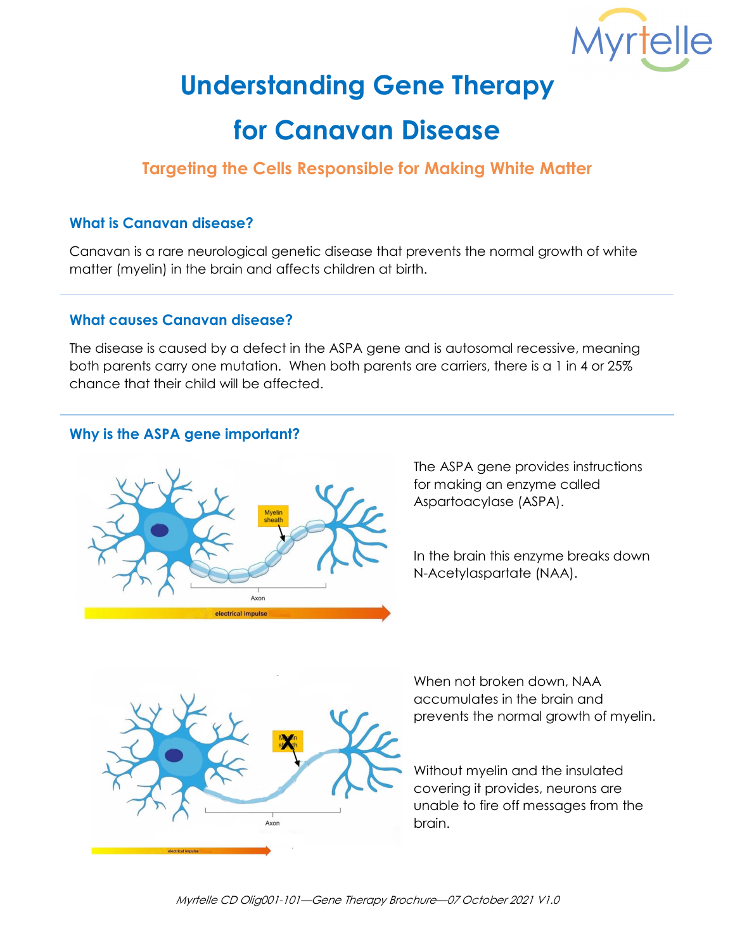

# **Understanding Gene Therapy**

# **for Canavan Disease**

# **Targeting the Cells Responsible for Making White Matter**

#### **What is Canavan disease?**

Canavan is a rare neurological genetic disease that prevents the normal growth of white matter (myelin) in the brain and affects children at birth.

#### **What causes Canavan disease?**

The disease is caused by a defect in the ASPA gene and is autosomal recessive, meaning both parents carry one mutation. When both parents are carriers, there is a 1 in 4 or 25% chance that their child will be affected.

## **Why is the ASPA gene important?**



The ASPA gene provides instructions for making an enzyme called Aspartoacylase (ASPA).

In the brain this enzyme breaks down N-Acetylaspartate (NAA).



When not broken down, NAA accumulates in the brain and prevents the normal growth of myelin.

Without myelin and the insulated covering it provides, neurons are unable to fire off messages from the brain.